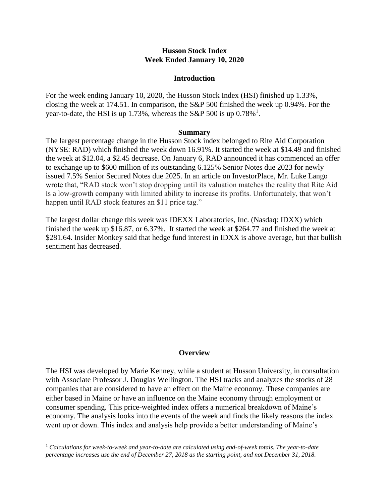## **Husson Stock Index Week Ended January 10, 2020**

#### **Introduction**

For the week ending January 10, 2020, the Husson Stock Index (HSI) finished up 1.33%, closing the week at 174.51. In comparison, the S&P 500 finished the week up 0.94%. For the year-to-date, the HSI is up 1.73%, whereas the S&P 500 is up  $0.78\%$ <sup>1</sup>.

#### **Summary**

The largest percentage change in the Husson Stock index belonged to Rite Aid Corporation (NYSE: RAD) which finished the week down 16.91%. It started the week at \$14.49 and finished the week at \$12.04, a \$2.45 decrease. On January 6, RAD announced it has commenced an offer to exchange up to \$600 million of its outstanding 6.125% Senior Notes due 2023 for newly issued 7.5% Senior Secured Notes due 2025. In an article on InvestorPlace, Mr. Luke Lango wrote that, "RAD stock won't stop dropping until its valuation matches the reality that Rite Aid is a low-growth company with limited ability to increase its profits. Unfortunately, that won't happen until RAD stock features an \$11 price tag."

The largest dollar change this week was IDEXX Laboratories, Inc. (Nasdaq: IDXX) which finished the week up \$16.87, or 6.37%. It started the week at \$264.77 and finished the week at \$281.64. Insider Monkey said that hedge fund interest in IDXX is above average, but that bullish sentiment has decreased.

## **Overview**

The HSI was developed by Marie Kenney, while a student at Husson University, in consultation with Associate Professor J. Douglas Wellington. The HSI tracks and analyzes the stocks of 28 companies that are considered to have an effect on the Maine economy. These companies are either based in Maine or have an influence on the Maine economy through employment or consumer spending. This price-weighted index offers a numerical breakdown of Maine's economy. The analysis looks into the events of the week and finds the likely reasons the index went up or down. This index and analysis help provide a better understanding of Maine's

 $\overline{a}$ 

<sup>1</sup> *Calculations for week-to-week and year-to-date are calculated using end-of-week totals. The year-to-date percentage increases use the end of December 27, 2018 as the starting point, and not December 31, 2018.*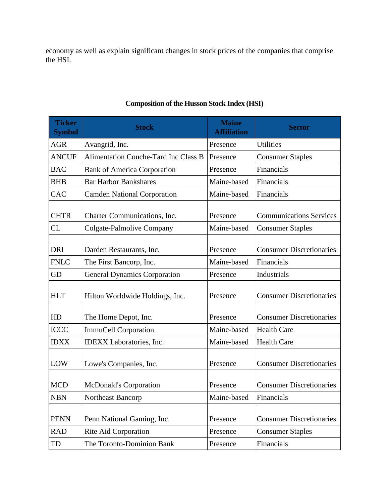economy as well as explain significant changes in stock prices of the companies that comprise the HSI.

| <b>Ticker</b><br><b>Symbol</b> | <b>Stock</b>                                | <b>Maine</b><br><b>Affiliation</b> | <b>Sector</b>                   |
|--------------------------------|---------------------------------------------|------------------------------------|---------------------------------|
| <b>AGR</b>                     | Avangrid, Inc.                              | Presence                           | <b>Utilities</b>                |
| <b>ANCUF</b>                   | <b>Alimentation Couche-Tard Inc Class B</b> | Presence                           | <b>Consumer Staples</b>         |
| <b>BAC</b>                     | <b>Bank of America Corporation</b>          | Presence                           | Financials                      |
| <b>BHB</b>                     | <b>Bar Harbor Bankshares</b>                | Maine-based                        | Financials                      |
| CAC                            | <b>Camden National Corporation</b>          | Maine-based                        | Financials                      |
| <b>CHTR</b>                    | Charter Communications, Inc.                | Presence                           | <b>Communications Services</b>  |
| <b>CL</b>                      | <b>Colgate-Palmolive Company</b>            | Maine-based                        | <b>Consumer Staples</b>         |
| <b>DRI</b>                     | Darden Restaurants, Inc.                    | Presence                           | <b>Consumer Discretionaries</b> |
| <b>FNLC</b>                    | The First Bancorp, Inc.                     | Maine-based                        | Financials                      |
| GD                             | <b>General Dynamics Corporation</b>         | Presence                           | Industrials                     |
| <b>HLT</b>                     | Hilton Worldwide Holdings, Inc.             | Presence                           | <b>Consumer Discretionaries</b> |
| HD                             | The Home Depot, Inc.                        | Presence                           | <b>Consumer Discretionaries</b> |
| <b>ICCC</b>                    | <b>ImmuCell Corporation</b>                 | Maine-based                        | <b>Health Care</b>              |
| <b>IDXX</b>                    | <b>IDEXX</b> Laboratories, Inc.             | Maine-based                        | <b>Health Care</b>              |
| LOW                            | Lowe's Companies, Inc.                      | Presence                           | <b>Consumer Discretionaries</b> |
| <b>MCD</b>                     | <b>McDonald's Corporation</b>               | Presence                           | <b>Consumer Discretionaries</b> |
| <b>NBN</b>                     | Northeast Bancorp                           | Maine-based                        | Financials                      |
| <b>PENN</b>                    | Penn National Gaming, Inc.                  | Presence                           | <b>Consumer Discretionaries</b> |
| <b>RAD</b>                     | Rite Aid Corporation                        | Presence                           | <b>Consumer Staples</b>         |
| TD                             | The Toronto-Dominion Bank                   | Presence                           | Financials                      |

# **Composition of the Husson Stock Index (HSI)**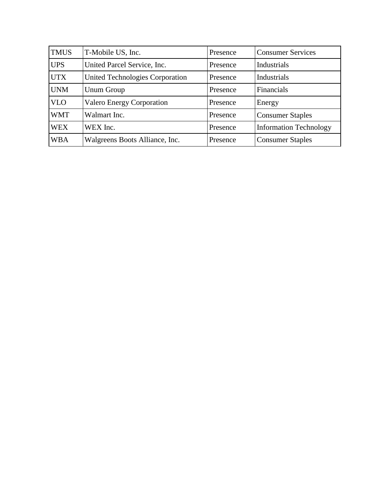| <b>TMUS</b> | T-Mobile US, Inc.                | Presence | <b>Consumer Services</b>      |
|-------------|----------------------------------|----------|-------------------------------|
| <b>UPS</b>  | United Parcel Service, Inc.      | Presence | Industrials                   |
| <b>UTX</b>  | United Technologies Corporation  | Presence | Industrials                   |
| <b>UNM</b>  | Unum Group                       | Presence | Financials                    |
| <b>VLO</b>  | <b>Valero Energy Corporation</b> | Presence | Energy                        |
| <b>WMT</b>  | Walmart Inc.                     | Presence | <b>Consumer Staples</b>       |
| <b>WEX</b>  | WEX Inc.                         | Presence | <b>Information Technology</b> |
| <b>WBA</b>  | Walgreens Boots Alliance, Inc.   | Presence | <b>Consumer Staples</b>       |